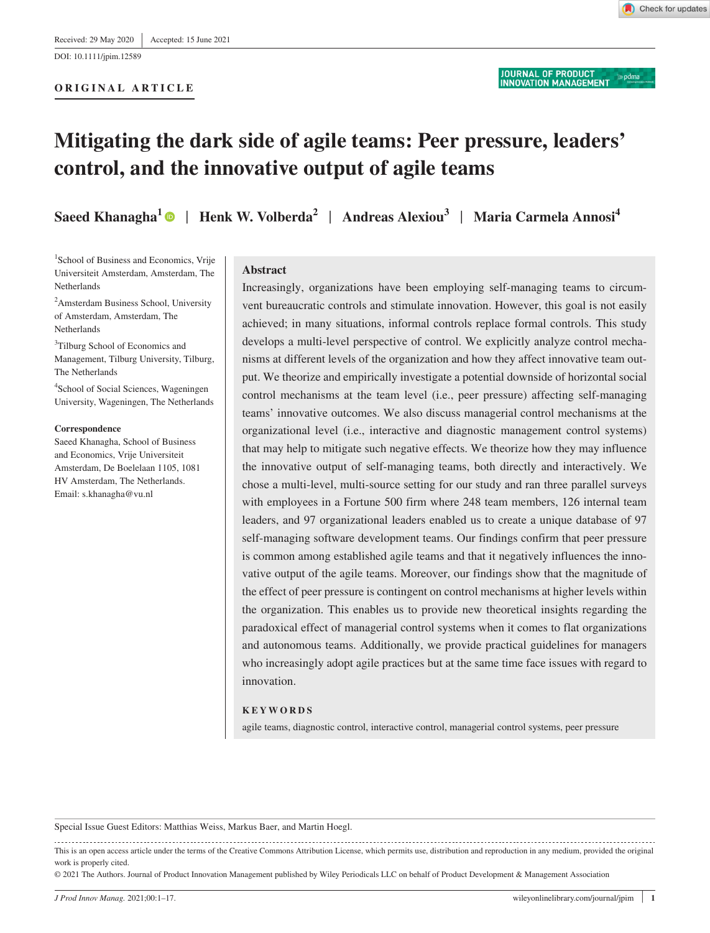DOI: 10.1111/jpim.12589

### **ORIGINAL ARTICLE**

JOURNAL OF PRODUCT<br>INNOVATION MANAGEMENT pdma

# **Mitigating the dark side of agile teams: Peer pressure, leaders' control, and the innovative output of agile teams**

**Saeed Khanagha[1](https://orcid.org/0000-0003-4765-0425)** | **Henk W. Volberda2** | **Andreas Alexiou<sup>3</sup>** | **Maria Carmela Annosi4**

<sup>1</sup>School of Business and Economics, Vrije Universiteit Amsterdam, Amsterdam, The Netherlands

<sup>2</sup>Amsterdam Business School, University of Amsterdam, Amsterdam, The Netherlands

3 Tilburg School of Economics and Management, Tilburg University, Tilburg, The Netherlands

4 School of Social Sciences, Wageningen University, Wageningen, The Netherlands

#### **Correspondence**

Saeed Khanagha, School of Business and Economics, Vrije Universiteit Amsterdam, De Boelelaan 1105, 1081 HV Amsterdam, The Netherlands. Email: [s.khanagha@vu.nl](mailto:s.khanagha@vu.nl)

### **Abstract**

Increasingly, organizations have been employing self-managing teams to circumvent bureaucratic controls and stimulate innovation. However, this goal is not easily achieved; in many situations, informal controls replace formal controls. This study develops a multi-level perspective of control. We explicitly analyze control mechanisms at different levels of the organization and how they affect innovative team output. We theorize and empirically investigate a potential downside of horizontal social control mechanisms at the team level (i.e., peer pressure) affecting self-managing teams' innovative outcomes. We also discuss managerial control mechanisms at the organizational level (i.e., interactive and diagnostic management control systems) that may help to mitigate such negative effects. We theorize how they may influence the innovative output of self-managing teams, both directly and interactively. We chose a multi-level, multi-source setting for our study and ran three parallel surveys with employees in a Fortune 500 firm where 248 team members, 126 internal team leaders, and 97 organizational leaders enabled us to create a unique database of 97 self-managing software development teams. Our findings confirm that peer pressure is common among established agile teams and that it negatively influences the innovative output of the agile teams. Moreover, our findings show that the magnitude of the effect of peer pressure is contingent on control mechanisms at higher levels within the organization. This enables us to provide new theoretical insights regarding the paradoxical effect of managerial control systems when it comes to flat organizations and autonomous teams. Additionally, we provide practical guidelines for managers who increasingly adopt agile practices but at the same time face issues with regard to innovation.

#### **KEYWORDS**

agile teams, diagnostic control, interactive control, managerial control systems, peer pressure

Special Issue Guest Editors: Matthias Weiss, Markus Baer, and Martin Hoegl.

This is an open access article under the terms of the [Creative Commons Attribution](http://creativecommons.org/licenses/by/4.0/) License, which permits use, distribution and reproduction in any medium, provided the original work is properly cited.

© 2021 The Authors. Journal of Product Innovation Management published by Wiley Periodicals LLC on behalf of Product Development & Management Association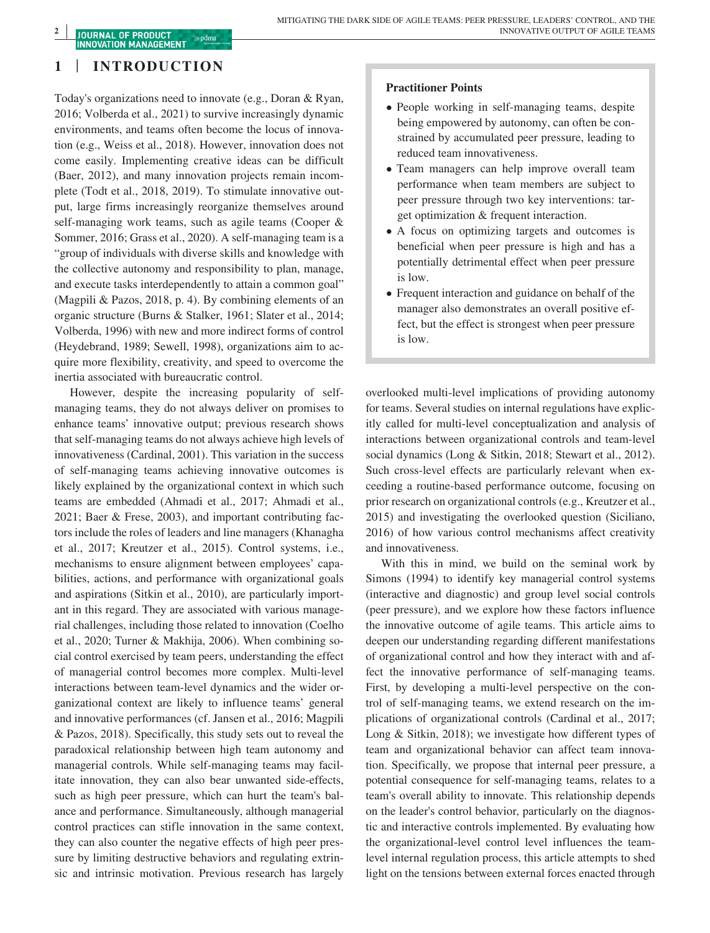## **1** | **INTRODUCTION**

Today's organizations need to innovate (e.g., Doran & Ryan, 2016; Volberda et al., 2021) to survive increasingly dynamic environments, and teams often become the locus of innovation (e.g., Weiss et al., 2018). However, innovation does not come easily. Implementing creative ideas can be difficult (Baer, 2012), and many innovation projects remain incomplete (Todt et al., 2018, 2019). To stimulate innovative output, large firms increasingly reorganize themselves around self-managing work teams, such as agile teams (Cooper & Sommer, 2016; Grass et al., 2020). A self-managing team is a "group of individuals with diverse skills and knowledge with the collective autonomy and responsibility to plan, manage, and execute tasks interdependently to attain a common goal" (Magpili & Pazos, 2018, p. 4). By combining elements of an organic structure (Burns & Stalker, 1961; Slater et al., 2014; Volberda, 1996) with new and more indirect forms of control (Heydebrand, 1989; Sewell, 1998), organizations aim to acquire more flexibility, creativity, and speed to overcome the inertia associated with bureaucratic control.

However, despite the increasing popularity of selfmanaging teams, they do not always deliver on promises to enhance teams' innovative output; previous research shows that self-managing teams do not always achieve high levels of innovativeness (Cardinal, 2001). This variation in the success of self-managing teams achieving innovative outcomes is likely explained by the organizational context in which such teams are embedded (Ahmadi et al., 2017; Ahmadi et al., 2021; Baer & Frese, 2003), and important contributing factors include the roles of leaders and line managers (Khanagha et al., 2017; Kreutzer et al., 2015). Control systems, i.e., mechanisms to ensure alignment between employees' capabilities, actions, and performance with organizational goals and aspirations (Sitkin et al., 2010), are particularly important in this regard. They are associated with various managerial challenges, including those related to innovation (Coelho et al., 2020; Turner & Makhija, 2006). When combining social control exercised by team peers, understanding the effect of managerial control becomes more complex. Multi-level interactions between team-level dynamics and the wider organizational context are likely to influence teams' general and innovative performances (cf. Jansen et al., 2016; Magpili & Pazos, 2018). Specifically, this study sets out to reveal the paradoxical relationship between high team autonomy and managerial controls. While self-managing teams may facilitate innovation, they can also bear unwanted side-effects, such as high peer pressure, which can hurt the team's balance and performance. Simultaneously, although managerial control practices can stifle innovation in the same context, they can also counter the negative effects of high peer pressure by limiting destructive behaviors and regulating extrinsic and intrinsic motivation. Previous research has largely

#### **Practitioner Points**

- People working in self-managing teams, despite being empowered by autonomy, can often be constrained by accumulated peer pressure, leading to reduced team innovativeness.
- Team managers can help improve overall team performance when team members are subject to peer pressure through two key interventions: target optimization & frequent interaction.
- A focus on optimizing targets and outcomes is beneficial when peer pressure is high and has a potentially detrimental effect when peer pressure is low.
- Frequent interaction and guidance on behalf of the manager also demonstrates an overall positive effect, but the effect is strongest when peer pressure is low.

overlooked multi-level implications of providing autonomy for teams. Several studies on internal regulations have explicitly called for multi-level conceptualization and analysis of interactions between organizational controls and team-level social dynamics (Long & Sitkin, 2018; Stewart et al., 2012). Such cross-level effects are particularly relevant when exceeding a routine-based performance outcome, focusing on prior research on organizational controls (e.g., Kreutzer et al., 2015) and investigating the overlooked question (Siciliano, 2016) of how various control mechanisms affect creativity and innovativeness.

With this in mind, we build on the seminal work by Simons (1994) to identify key managerial control systems (interactive and diagnostic) and group level social controls (peer pressure), and we explore how these factors influence the innovative outcome of agile teams. This article aims to deepen our understanding regarding different manifestations of organizational control and how they interact with and affect the innovative performance of self-managing teams. First, by developing a multi-level perspective on the control of self-managing teams, we extend research on the implications of organizational controls (Cardinal et al., 2017; Long & Sitkin, 2018); we investigate how different types of team and organizational behavior can affect team innovation. Specifically, we propose that internal peer pressure, a potential consequence for self-managing teams, relates to a team's overall ability to innovate. This relationship depends on the leader's control behavior, particularly on the diagnostic and interactive controls implemented. By evaluating how the organizational-level control level influences the teamlevel internal regulation process, this article attempts to shed light on the tensions between external forces enacted through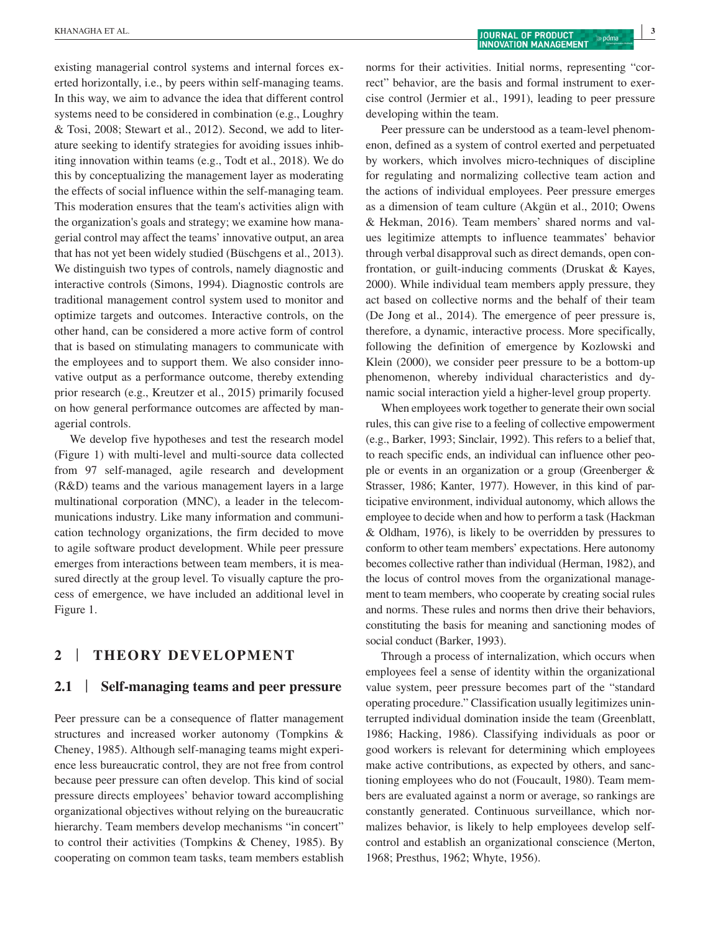existing managerial control systems and internal forces exerted horizontally, i.e., by peers within self-managing teams. In this way, we aim to advance the idea that different control systems need to be considered in combination (e.g., Loughry & Tosi, 2008; Stewart et al., 2012). Second, we add to literature seeking to identify strategies for avoiding issues inhibiting innovation within teams (e.g., Todt et al., 2018). We do this by conceptualizing the management layer as moderating the effects of social influence within the self-managing team. This moderation ensures that the team's activities align with the organization's goals and strategy; we examine how managerial control may affect the teams' innovative output, an area that has not yet been widely studied (Büschgens et al., 2013). We distinguish two types of controls, namely diagnostic and interactive controls (Simons, 1994). Diagnostic controls are traditional management control system used to monitor and optimize targets and outcomes. Interactive controls, on the other hand, can be considered a more active form of control that is based on stimulating managers to communicate with the employees and to support them. We also consider innovative output as a performance outcome, thereby extending prior research (e.g., Kreutzer et al., 2015) primarily focused on how general performance outcomes are affected by managerial controls.

We develop five hypotheses and test the research model (Figure 1) with multi-level and multi-source data collected from 97 self-managed, agile research and development (R&D) teams and the various management layers in a large multinational corporation (MNC), a leader in the telecommunications industry. Like many information and communication technology organizations, the firm decided to move to agile software product development. While peer pressure emerges from interactions between team members, it is measured directly at the group level. To visually capture the process of emergence, we have included an additional level in Figure 1.

### **2** | **THEORY DEVELOPMENT**

### **2.1** | **Self-managing teams and peer pressure**

Peer pressure can be a consequence of flatter management structures and increased worker autonomy (Tompkins & Cheney, 1985). Although self-managing teams might experience less bureaucratic control, they are not free from control because peer pressure can often develop. This kind of social pressure directs employees' behavior toward accomplishing organizational objectives without relying on the bureaucratic hierarchy. Team members develop mechanisms "in concert" to control their activities (Tompkins & Cheney, 1985). By cooperating on common team tasks, team members establish norms for their activities. Initial norms, representing "correct" behavior, are the basis and formal instrument to exercise control (Jermier et al., 1991), leading to peer pressure developing within the team.

Peer pressure can be understood as a team-level phenomenon, defined as a system of control exerted and perpetuated by workers, which involves micro-techniques of discipline for regulating and normalizing collective team action and the actions of individual employees. Peer pressure emerges as a dimension of team culture (Akgün et al., 2010; Owens & Hekman, 2016). Team members' shared norms and values legitimize attempts to influence teammates' behavior through verbal disapproval such as direct demands, open confrontation, or guilt-inducing comments (Druskat & Kayes, 2000). While individual team members apply pressure, they act based on collective norms and the behalf of their team (De Jong et al., 2014). The emergence of peer pressure is, therefore, a dynamic, interactive process. More specifically, following the definition of emergence by Kozlowski and Klein (2000), we consider peer pressure to be a bottom-up phenomenon, whereby individual characteristics and dynamic social interaction yield a higher-level group property.

When employees work together to generate their own social rules, this can give rise to a feeling of collective empowerment (e.g., Barker, 1993; Sinclair, 1992). This refers to a belief that, to reach specific ends, an individual can influence other people or events in an organization or a group (Greenberger & Strasser, 1986; Kanter, 1977). However, in this kind of participative environment, individual autonomy, which allows the employee to decide when and how to perform a task (Hackman & Oldham, 1976), is likely to be overridden by pressures to conform to other team members' expectations. Here autonomy becomes collective rather than individual (Herman, 1982), and the locus of control moves from the organizational management to team members, who cooperate by creating social rules and norms. These rules and norms then drive their behaviors, constituting the basis for meaning and sanctioning modes of social conduct (Barker, 1993).

Through a process of internalization, which occurs when employees feel a sense of identity within the organizational value system, peer pressure becomes part of the "standard operating procedure." Classification usually legitimizes uninterrupted individual domination inside the team (Greenblatt, 1986; Hacking, 1986). Classifying individuals as poor or good workers is relevant for determining which employees make active contributions, as expected by others, and sanctioning employees who do not (Foucault, 1980). Team members are evaluated against a norm or average, so rankings are constantly generated. Continuous surveillance, which normalizes behavior, is likely to help employees develop selfcontrol and establish an organizational conscience (Merton, 1968; Presthus, 1962; Whyte, 1956).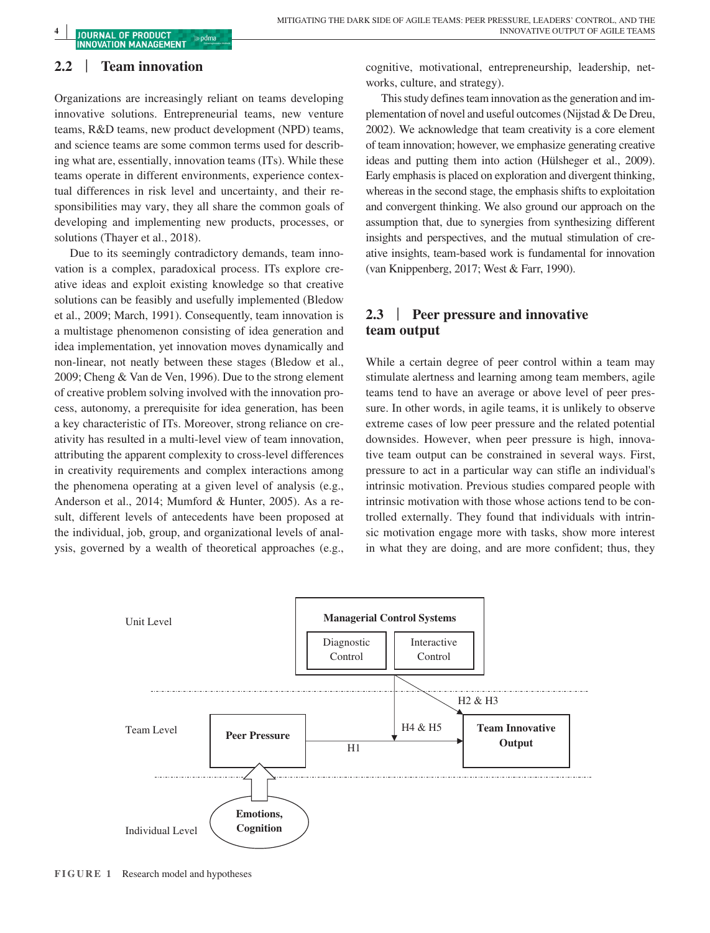#### **JOURNAL OF PRODUCT <sup>4</sup> | pdma**

### **2.2** | **Team innovation**

Organizations are increasingly reliant on teams developing innovative solutions. Entrepreneurial teams, new venture teams, R&D teams, new product development (NPD) teams, and science teams are some common terms used for describing what are, essentially, innovation teams (ITs). While these teams operate in different environments, experience contextual differences in risk level and uncertainty, and their responsibilities may vary, they all share the common goals of developing and implementing new products, processes, or solutions (Thayer et al., 2018).

Due to its seemingly contradictory demands, team innovation is a complex, paradoxical process. ITs explore creative ideas and exploit existing knowledge so that creative solutions can be feasibly and usefully implemented (Bledow et al., 2009; March, 1991). Consequently, team innovation is a multistage phenomenon consisting of idea generation and idea implementation, yet innovation moves dynamically and non-linear, not neatly between these stages (Bledow et al., 2009; Cheng & Van de Ven, 1996). Due to the strong element of creative problem solving involved with the innovation process, autonomy, a prerequisite for idea generation, has been a key characteristic of ITs. Moreover, strong reliance on creativity has resulted in a multi-level view of team innovation, attributing the apparent complexity to cross-level differences in creativity requirements and complex interactions among the phenomena operating at a given level of analysis (e.g., Anderson et al., 2014; Mumford & Hunter, 2005). As a result, different levels of antecedents have been proposed at the individual, job, group, and organizational levels of analysis, governed by a wealth of theoretical approaches (e.g.,

cognitive, motivational, entrepreneurship, leadership, networks, culture, and strategy).

This study defines team innovation as the generation and implementation of novel and useful outcomes (Nijstad & De Dreu, 2002). We acknowledge that team creativity is a core element of team innovation; however, we emphasize generating creative ideas and putting them into action (Hülsheger et al., 2009). Early emphasis is placed on exploration and divergent thinking, whereas in the second stage, the emphasis shifts to exploitation and convergent thinking. We also ground our approach on the assumption that, due to synergies from synthesizing different insights and perspectives, and the mutual stimulation of creative insights, team-based work is fundamental for innovation (van Knippenberg, 2017; West & Farr, 1990).

### **2.3** | **Peer pressure and innovative team output**

While a certain degree of peer control within a team may stimulate alertness and learning among team members, agile teams tend to have an average or above level of peer pressure. In other words, in agile teams, it is unlikely to observe extreme cases of low peer pressure and the related potential downsides. However, when peer pressure is high, innovative team output can be constrained in several ways. First, pressure to act in a particular way can stifle an individual's intrinsic motivation. Previous studies compared people with intrinsic motivation with those whose actions tend to be controlled externally. They found that individuals with intrinsic motivation engage more with tasks, show more interest in what they are doing, and are more confident; thus, they



**FIGURE 1** Research model and hypotheses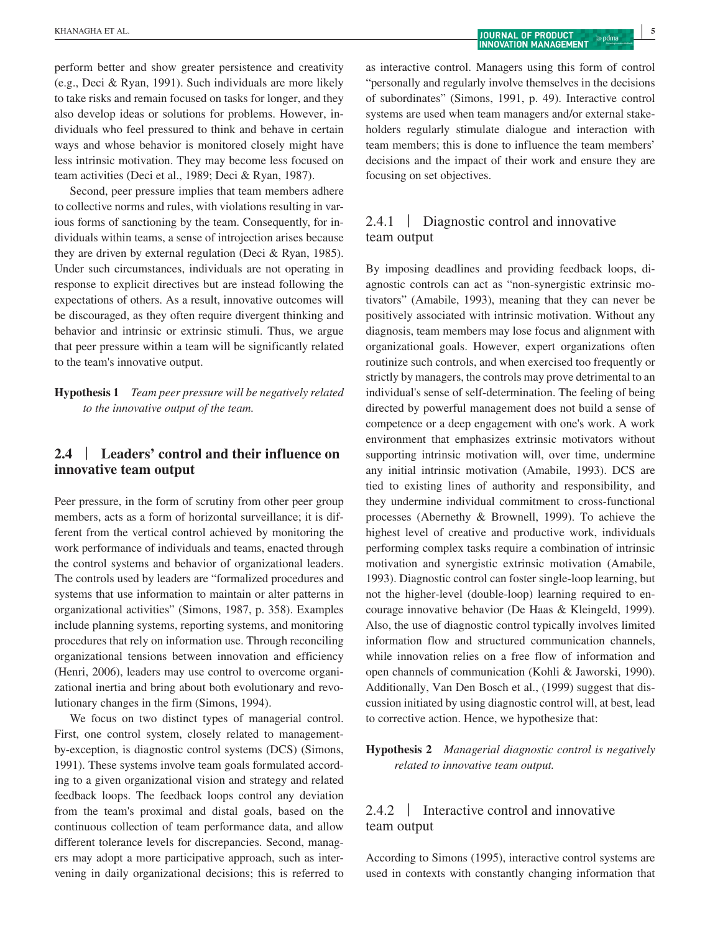perform better and show greater persistence and creativity (e.g., Deci & Ryan, 1991). Such individuals are more likely to take risks and remain focused on tasks for longer, and they also develop ideas or solutions for problems. However, individuals who feel pressured to think and behave in certain ways and whose behavior is monitored closely might have less intrinsic motivation. They may become less focused on team activities (Deci et al., 1989; Deci & Ryan, 1987).

Second, peer pressure implies that team members adhere to collective norms and rules, with violations resulting in various forms of sanctioning by the team. Consequently, for individuals within teams, a sense of introjection arises because they are driven by external regulation (Deci & Ryan, 1985). Under such circumstances, individuals are not operating in response to explicit directives but are instead following the expectations of others. As a result, innovative outcomes will be discouraged, as they often require divergent thinking and behavior and intrinsic or extrinsic stimuli. Thus, we argue that peer pressure within a team will be significantly related to the team's innovative output.

**Hypothesis 1** *Team peer pressure will be negatively related to the innovative output of the team.*

### **2.4** | **Leaders' control and their influence on innovative team output**

Peer pressure, in the form of scrutiny from other peer group members, acts as a form of horizontal surveillance; it is different from the vertical control achieved by monitoring the work performance of individuals and teams, enacted through the control systems and behavior of organizational leaders. The controls used by leaders are "formalized procedures and systems that use information to maintain or alter patterns in organizational activities" (Simons, 1987, p. 358). Examples include planning systems, reporting systems, and monitoring procedures that rely on information use. Through reconciling organizational tensions between innovation and efficiency (Henri, 2006), leaders may use control to overcome organizational inertia and bring about both evolutionary and revolutionary changes in the firm (Simons, 1994).

We focus on two distinct types of managerial control. First, one control system, closely related to managementby-exception, is diagnostic control systems (DCS) (Simons, 1991). These systems involve team goals formulated according to a given organizational vision and strategy and related feedback loops. The feedback loops control any deviation from the team's proximal and distal goals, based on the continuous collection of team performance data, and allow different tolerance levels for discrepancies. Second, managers may adopt a more participative approach, such as intervening in daily organizational decisions; this is referred to

as interactive control. Managers using this form of control "personally and regularly involve themselves in the decisions of subordinates" (Simons, 1991, p. 49). Interactive control systems are used when team managers and/or external stakeholders regularly stimulate dialogue and interaction with team members; this is done to influence the team members' decisions and the impact of their work and ensure they are focusing on set objectives.

### 2.4.1 | Diagnostic control and innovative team output

By imposing deadlines and providing feedback loops, diagnostic controls can act as "non-synergistic extrinsic motivators" (Amabile, 1993), meaning that they can never be positively associated with intrinsic motivation. Without any diagnosis, team members may lose focus and alignment with organizational goals. However, expert organizations often routinize such controls, and when exercised too frequently or strictly by managers, the controls may prove detrimental to an individual's sense of self-determination. The feeling of being directed by powerful management does not build a sense of competence or a deep engagement with one's work. A work environment that emphasizes extrinsic motivators without supporting intrinsic motivation will, over time, undermine any initial intrinsic motivation (Amabile, 1993). DCS are tied to existing lines of authority and responsibility, and they undermine individual commitment to cross-functional processes (Abernethy & Brownell, 1999). To achieve the highest level of creative and productive work, individuals performing complex tasks require a combination of intrinsic motivation and synergistic extrinsic motivation (Amabile, 1993). Diagnostic control can foster single-loop learning, but not the higher-level (double-loop) learning required to encourage innovative behavior (De Haas & Kleingeld, 1999). Also, the use of diagnostic control typically involves limited information flow and structured communication channels, while innovation relies on a free flow of information and open channels of communication (Kohli & Jaworski, 1990). Additionally, Van Den Bosch et al., (1999) suggest that discussion initiated by using diagnostic control will, at best, lead to corrective action. Hence, we hypothesize that:

**Hypothesis 2** *Managerial diagnostic control is negatively related to innovative team output.*

### 2.4.2 | Interactive control and innovative team output

According to Simons (1995), interactive control systems are used in contexts with constantly changing information that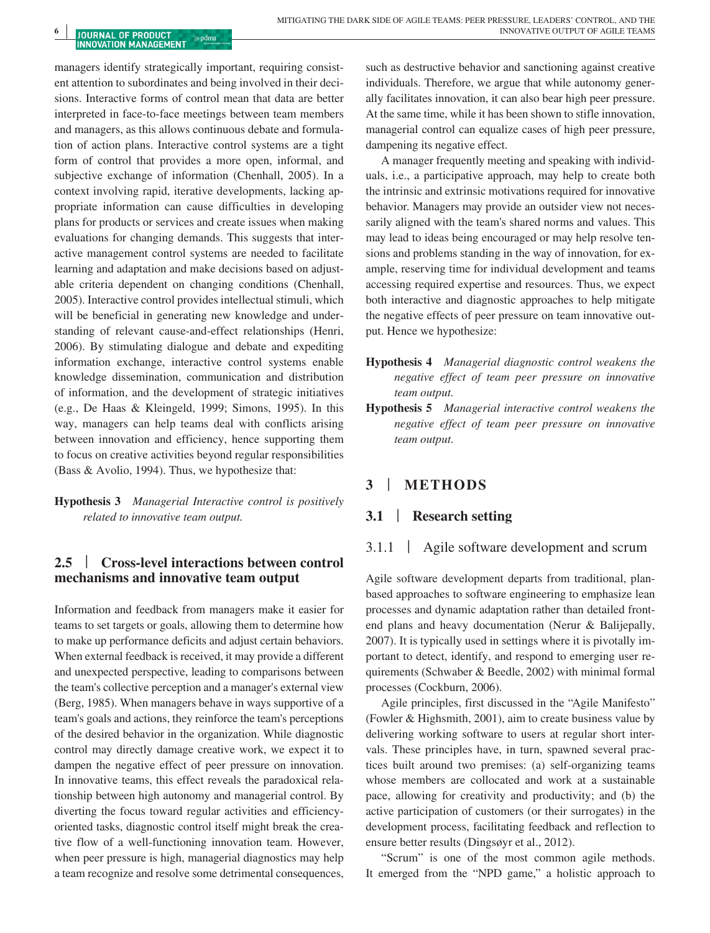#### **<sup>6</sup> |**  pdma

managers identify strategically important, requiring consistent attention to subordinates and being involved in their decisions. Interactive forms of control mean that data are better interpreted in face-to-face meetings between team members and managers, as this allows continuous debate and formulation of action plans. Interactive control systems are a tight form of control that provides a more open, informal, and subjective exchange of information (Chenhall, 2005). In a context involving rapid, iterative developments, lacking appropriate information can cause difficulties in developing plans for products or services and create issues when making evaluations for changing demands. This suggests that interactive management control systems are needed to facilitate learning and adaptation and make decisions based on adjustable criteria dependent on changing conditions (Chenhall, 2005). Interactive control provides intellectual stimuli, which will be beneficial in generating new knowledge and understanding of relevant cause-and-effect relationships (Henri, 2006). By stimulating dialogue and debate and expediting information exchange, interactive control systems enable knowledge dissemination, communication and distribution of information, and the development of strategic initiatives (e.g., De Haas & Kleingeld, 1999; Simons, 1995). In this way, managers can help teams deal with conflicts arising between innovation and efficiency, hence supporting them to focus on creative activities beyond regular responsibilities (Bass & Avolio, 1994). Thus, we hypothesize that:

**Hypothesis 3** *Managerial Interactive control is positively related to innovative team output.*

### **2.5** | **Cross-level interactions between control mechanisms and innovative team output**

Information and feedback from managers make it easier for teams to set targets or goals, allowing them to determine how to make up performance deficits and adjust certain behaviors. When external feedback is received, it may provide a different and unexpected perspective, leading to comparisons between the team's collective perception and a manager's external view (Berg, 1985). When managers behave in ways supportive of a team's goals and actions, they reinforce the team's perceptions of the desired behavior in the organization. While diagnostic control may directly damage creative work, we expect it to dampen the negative effect of peer pressure on innovation. In innovative teams, this effect reveals the paradoxical relationship between high autonomy and managerial control. By diverting the focus toward regular activities and efficiencyoriented tasks, diagnostic control itself might break the creative flow of a well-functioning innovation team. However, when peer pressure is high, managerial diagnostics may help a team recognize and resolve some detrimental consequences, such as destructive behavior and sanctioning against creative individuals. Therefore, we argue that while autonomy generally facilitates innovation, it can also bear high peer pressure. At the same time, while it has been shown to stifle innovation, managerial control can equalize cases of high peer pressure, dampening its negative effect.

A manager frequently meeting and speaking with individuals, i.e., a participative approach, may help to create both the intrinsic and extrinsic motivations required for innovative behavior. Managers may provide an outsider view not necessarily aligned with the team's shared norms and values. This may lead to ideas being encouraged or may help resolve tensions and problems standing in the way of innovation, for example, reserving time for individual development and teams accessing required expertise and resources. Thus, we expect both interactive and diagnostic approaches to help mitigate the negative effects of peer pressure on team innovative output. Hence we hypothesize:

- **Hypothesis 4** *Managerial diagnostic control weakens the negative effect of team peer pressure on innovative team output.*
- **Hypothesis 5** *Managerial interactive control weakens the negative effect of team peer pressure on innovative team output.*

### **3** | **METHODS**

### **3.1** | **Research setting**

### 3.1.1 | Agile software development and scrum

Agile software development departs from traditional, planbased approaches to software engineering to emphasize lean processes and dynamic adaptation rather than detailed frontend plans and heavy documentation (Nerur & Balijepally, 2007). It is typically used in settings where it is pivotally important to detect, identify, and respond to emerging user requirements (Schwaber & Beedle, 2002) with minimal formal processes (Cockburn, 2006).

Agile principles, first discussed in the "Agile Manifesto" (Fowler & Highsmith, 2001), aim to create business value by delivering working software to users at regular short intervals. These principles have, in turn, spawned several practices built around two premises: (a) self-organizing teams whose members are collocated and work at a sustainable pace, allowing for creativity and productivity; and (b) the active participation of customers (or their surrogates) in the development process, facilitating feedback and reflection to ensure better results (Dingsøyr et al., 2012).

"Scrum" is one of the most common agile methods. It emerged from the "NPD game," a holistic approach to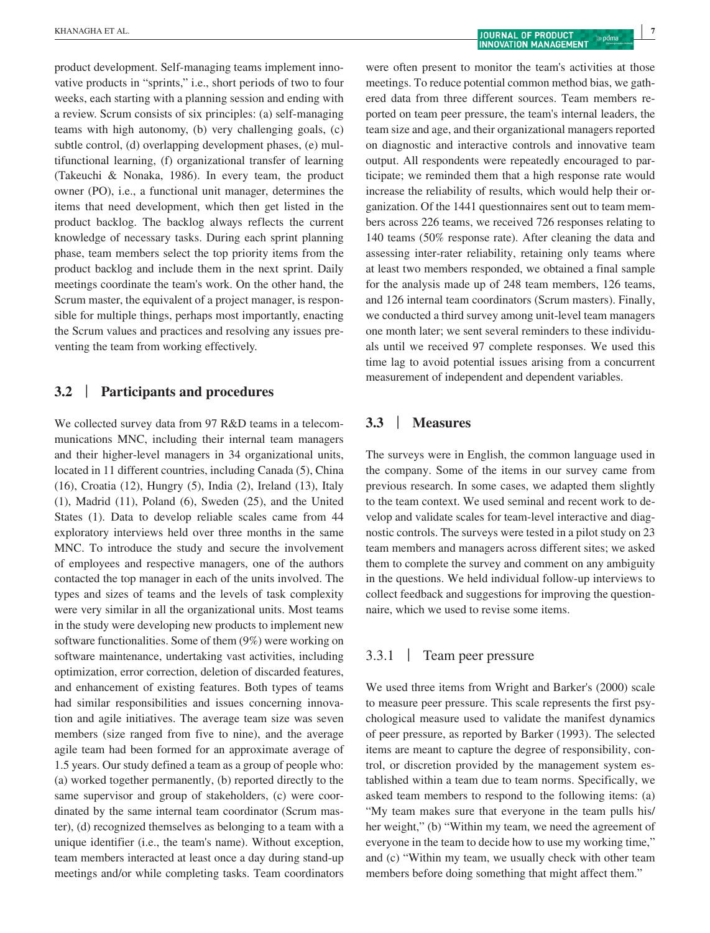product development. Self-managing teams implement innovative products in "sprints," i.e., short periods of two to four weeks, each starting with a planning session and ending with a review. Scrum consists of six principles: (a) self-managing teams with high autonomy, (b) very challenging goals, (c) subtle control, (d) overlapping development phases, (e) multifunctional learning, (f) organizational transfer of learning (Takeuchi & Nonaka, 1986). In every team, the product owner (PO), i.e., a functional unit manager, determines the items that need development, which then get listed in the product backlog. The backlog always reflects the current knowledge of necessary tasks. During each sprint planning phase, team members select the top priority items from the product backlog and include them in the next sprint. Daily meetings coordinate the team's work. On the other hand, the Scrum master, the equivalent of a project manager, is responsible for multiple things, perhaps most importantly, enacting the Scrum values and practices and resolving any issues preventing the team from working effectively.

### **3.2** | **Participants and procedures**

We collected survey data from 97 R&D teams in a telecommunications MNC, including their internal team managers and their higher-level managers in 34 organizational units, located in 11 different countries, including Canada (5), China (16), Croatia (12), Hungry (5), India (2), Ireland (13), Italy (1), Madrid (11), Poland (6), Sweden (25), and the United States (1). Data to develop reliable scales came from 44 exploratory interviews held over three months in the same MNC. To introduce the study and secure the involvement of employees and respective managers, one of the authors contacted the top manager in each of the units involved. The types and sizes of teams and the levels of task complexity were very similar in all the organizational units. Most teams in the study were developing new products to implement new software functionalities. Some of them (9%) were working on software maintenance, undertaking vast activities, including optimization, error correction, deletion of discarded features, and enhancement of existing features. Both types of teams had similar responsibilities and issues concerning innovation and agile initiatives. The average team size was seven members (size ranged from five to nine), and the average agile team had been formed for an approximate average of 1.5 years. Our study defined a team as a group of people who: (a) worked together permanently, (b) reported directly to the same supervisor and group of stakeholders, (c) were coordinated by the same internal team coordinator (Scrum master), (d) recognized themselves as belonging to a team with a unique identifier (i.e., the team's name). Without exception, team members interacted at least once a day during stand-up meetings and/or while completing tasks. Team coordinators

## **|** KHANAGHA ET AL. **<sup>7</sup>**

were often present to monitor the team's activities at those meetings. To reduce potential common method bias, we gathered data from three different sources. Team members reported on team peer pressure, the team's internal leaders, the team size and age, and their organizational managers reported on diagnostic and interactive controls and innovative team output. All respondents were repeatedly encouraged to participate; we reminded them that a high response rate would increase the reliability of results, which would help their organization. Of the 1441 questionnaires sent out to team members across 226 teams, we received 726 responses relating to 140 teams (50% response rate). After cleaning the data and assessing inter-rater reliability, retaining only teams where at least two members responded, we obtained a final sample for the analysis made up of 248 team members, 126 teams, and 126 internal team coordinators (Scrum masters). Finally, we conducted a third survey among unit-level team managers one month later; we sent several reminders to these individuals until we received 97 complete responses. We used this time lag to avoid potential issues arising from a concurrent measurement of independent and dependent variables.

### **3.3** | **Measures**

The surveys were in English, the common language used in the company. Some of the items in our survey came from previous research. In some cases, we adapted them slightly to the team context. We used seminal and recent work to develop and validate scales for team-level interactive and diagnostic controls. The surveys were tested in a pilot study on 23 team members and managers across different sites; we asked them to complete the survey and comment on any ambiguity in the questions. We held individual follow-up interviews to collect feedback and suggestions for improving the questionnaire, which we used to revise some items.

### 3.3.1 | Team peer pressure

We used three items from Wright and Barker's (2000) scale to measure peer pressure. This scale represents the first psychological measure used to validate the manifest dynamics of peer pressure, as reported by Barker (1993). The selected items are meant to capture the degree of responsibility, control, or discretion provided by the management system established within a team due to team norms. Specifically, we asked team members to respond to the following items: (a) "My team makes sure that everyone in the team pulls his/ her weight," (b) "Within my team, we need the agreement of everyone in the team to decide how to use my working time," and (c) "Within my team, we usually check with other team members before doing something that might affect them."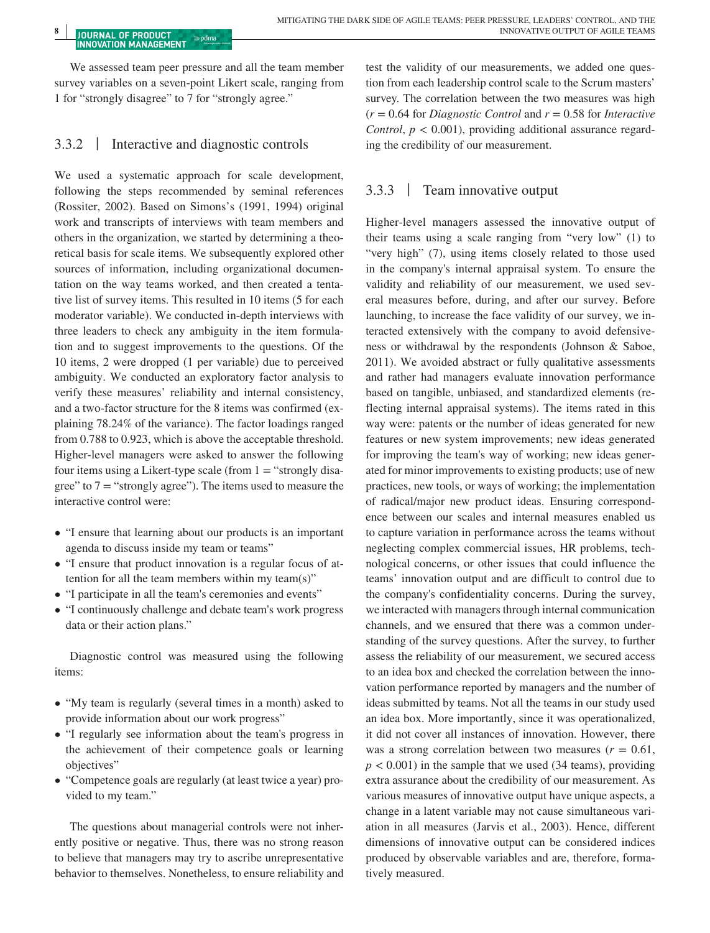We assessed team peer pressure and all the team member survey variables on a seven-point Likert scale, ranging from 1 for "strongly disagree" to 7 for "strongly agree."

### 3.3.2 | Interactive and diagnostic controls

We used a systematic approach for scale development, following the steps recommended by seminal references (Rossiter, 2002). Based on Simons's (1991, 1994) original work and transcripts of interviews with team members and others in the organization, we started by determining a theoretical basis for scale items. We subsequently explored other sources of information, including organizational documentation on the way teams worked, and then created a tentative list of survey items. This resulted in 10 items (5 for each moderator variable). We conducted in-depth interviews with three leaders to check any ambiguity in the item formulation and to suggest improvements to the questions. Of the 10 items, 2 were dropped (1 per variable) due to perceived ambiguity. We conducted an exploratory factor analysis to verify these measures' reliability and internal consistency, and a two-factor structure for the 8 items was confirmed (explaining 78.24% of the variance). The factor loadings ranged from 0.788 to 0.923, which is above the acceptable threshold. Higher-level managers were asked to answer the following four items using a Likert-type scale (from  $1 =$  "strongly disagree" to  $7 =$  "strongly agree"). The items used to measure the interactive control were:

- "I ensure that learning about our products is an important agenda to discuss inside my team or teams"
- "I ensure that product innovation is a regular focus of attention for all the team members within my team(s)"
- "I participate in all the team's ceremonies and events"
- "I continuously challenge and debate team's work progress data or their action plans."

Diagnostic control was measured using the following items:

- "My team is regularly (several times in a month) asked to provide information about our work progress"
- "I regularly see information about the team's progress in the achievement of their competence goals or learning objectives"
- "Competence goals are regularly (at least twice a year) provided to my team."

The questions about managerial controls were not inherently positive or negative. Thus, there was no strong reason to believe that managers may try to ascribe unrepresentative behavior to themselves. Nonetheless, to ensure reliability and test the validity of our measurements, we added one question from each leadership control scale to the Scrum masters' survey. The correlation between the two measures was high (*r* = 0.64 for *Diagnostic Control* and *r* = 0.58 for *Interactive Control,*  $p < 0.001$ *), providing additional assurance regard*ing the credibility of our measurement.

### 3.3.3 | Team innovative output

Higher-level managers assessed the innovative output of their teams using a scale ranging from "very low" (1) to "very high" (7), using items closely related to those used in the company's internal appraisal system. To ensure the validity and reliability of our measurement, we used several measures before, during, and after our survey. Before launching, to increase the face validity of our survey, we interacted extensively with the company to avoid defensiveness or withdrawal by the respondents (Johnson & Saboe, 2011). We avoided abstract or fully qualitative assessments and rather had managers evaluate innovation performance based on tangible, unbiased, and standardized elements (reflecting internal appraisal systems). The items rated in this way were: patents or the number of ideas generated for new features or new system improvements; new ideas generated for improving the team's way of working; new ideas generated for minor improvements to existing products; use of new practices, new tools, or ways of working; the implementation of radical/major new product ideas. Ensuring correspondence between our scales and internal measures enabled us to capture variation in performance across the teams without neglecting complex commercial issues, HR problems, technological concerns, or other issues that could influence the teams' innovation output and are difficult to control due to the company's confidentiality concerns. During the survey, we interacted with managers through internal communication channels, and we ensured that there was a common understanding of the survey questions. After the survey, to further assess the reliability of our measurement, we secured access to an idea box and checked the correlation between the innovation performance reported by managers and the number of ideas submitted by teams. Not all the teams in our study used an idea box. More importantly, since it was operationalized, it did not cover all instances of innovation. However, there was a strong correlation between two measures  $(r = 0.61,$  $p < 0.001$ ) in the sample that we used (34 teams), providing extra assurance about the credibility of our measurement. As various measures of innovative output have unique aspects, a change in a latent variable may not cause simultaneous variation in all measures (Jarvis et al., 2003). Hence, different dimensions of innovative output can be considered indices produced by observable variables and are, therefore, formatively measured.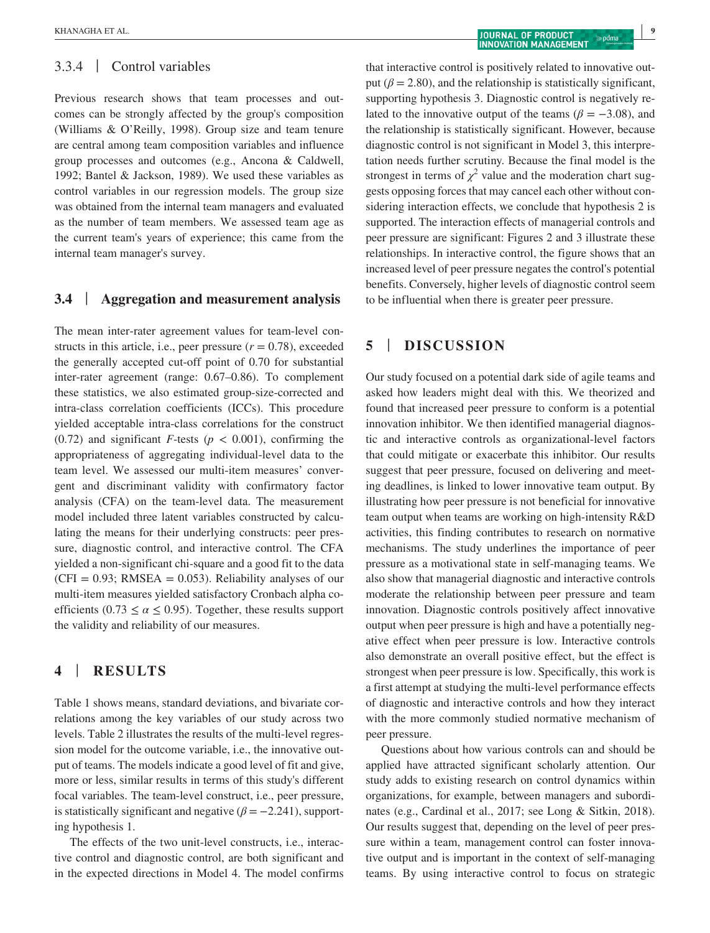### 3.3.4 | Control variables

Previous research shows that team processes and outcomes can be strongly affected by the group's composition (Williams & O'Reilly, 1998). Group size and team tenure are central among team composition variables and influence group processes and outcomes (e.g., Ancona & Caldwell, 1992; Bantel & Jackson, 1989). We used these variables as control variables in our regression models. The group size was obtained from the internal team managers and evaluated as the number of team members. We assessed team age as the current team's years of experience; this came from the internal team manager's survey.

### **3.4** | **Aggregation and measurement analysis**

The mean inter-rater agreement values for team-level constructs in this article, i.e., peer pressure  $(r = 0.78)$ , exceeded the generally accepted cut-off point of 0.70 for substantial inter-rater agreement (range: 0.67–0.86). To complement these statistics, we also estimated group-size-corrected and intra-class correlation coefficients (ICCs). This procedure yielded acceptable intra-class correlations for the construct  $(0.72)$  and significant *F*-tests ( $p < 0.001$ ), confirming the appropriateness of aggregating individual-level data to the team level. We assessed our multi-item measures' convergent and discriminant validity with confirmatory factor analysis (CFA) on the team-level data. The measurement model included three latent variables constructed by calculating the means for their underlying constructs: peer pressure, diagnostic control, and interactive control. The CFA yielded a non-significant chi-square and a good fit to the data  $(CFI = 0.93; RMSEA = 0.053)$ . Reliability analyses of our multi-item measures yielded satisfactory Cronbach alpha coefficients (0.73  $\leq \alpha \leq$  0.95). Together, these results support the validity and reliability of our measures.

### **4** | **RESULTS**

Table 1 shows means, standard deviations, and bivariate correlations among the key variables of our study across two levels. Table 2 illustrates the results of the multi-level regression model for the outcome variable, i.e., the innovative output of teams. The models indicate a good level of fit and give, more or less, similar results in terms of this study's different focal variables. The team-level construct, i.e., peer pressure, is statistically significant and negative  $(\beta = -2.241)$ , supporting hypothesis 1.

The effects of the two unit-level constructs, i.e., interactive control and diagnostic control, are both significant and in the expected directions in Model 4. The model confirms

that interactive control is positively related to innovative output ( $\beta$  = 2.80), and the relationship is statistically significant, supporting hypothesis 3. Diagnostic control is negatively related to the innovative output of the teams ( $\beta = -3.08$ ), and the relationship is statistically significant. However, because diagnostic control is not significant in Model 3, this interpretation needs further scrutiny. Because the final model is the strongest in terms of  $\chi^2$  value and the moderation chart suggests opposing forces that may cancel each other without considering interaction effects, we conclude that hypothesis 2 is supported. The interaction effects of managerial controls and peer pressure are significant: Figures 2 and 3 illustrate these relationships. In interactive control, the figure shows that an increased level of peer pressure negates the control's potential benefits. Conversely, higher levels of diagnostic control seem to be influential when there is greater peer pressure.

### **5** | **DISCUSSION**

Our study focused on a potential dark side of agile teams and asked how leaders might deal with this. We theorized and found that increased peer pressure to conform is a potential innovation inhibitor. We then identified managerial diagnostic and interactive controls as organizational-level factors that could mitigate or exacerbate this inhibitor. Our results suggest that peer pressure, focused on delivering and meeting deadlines, is linked to lower innovative team output. By illustrating how peer pressure is not beneficial for innovative team output when teams are working on high-intensity R&D activities, this finding contributes to research on normative mechanisms. The study underlines the importance of peer pressure as a motivational state in self-managing teams. We also show that managerial diagnostic and interactive controls moderate the relationship between peer pressure and team innovation. Diagnostic controls positively affect innovative output when peer pressure is high and have a potentially negative effect when peer pressure is low. Interactive controls also demonstrate an overall positive effect, but the effect is strongest when peer pressure is low. Specifically, this work is a first attempt at studying the multi-level performance effects of diagnostic and interactive controls and how they interact with the more commonly studied normative mechanism of peer pressure.

Questions about how various controls can and should be applied have attracted significant scholarly attention. Our study adds to existing research on control dynamics within organizations, for example, between managers and subordinates (e.g., Cardinal et al., 2017; see Long & Sitkin, 2018). Our results suggest that, depending on the level of peer pressure within a team, management control can foster innovative output and is important in the context of self-managing teams. By using interactive control to focus on strategic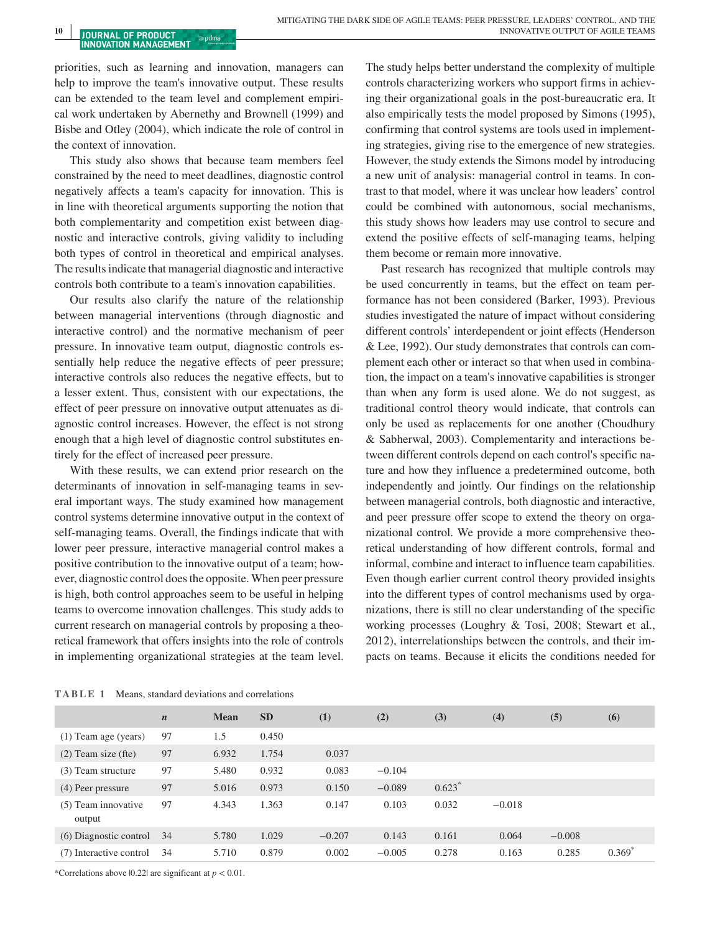#### **10 DURNAL OF PRODUCT**<br>**INNOVATION MANAGEMENT JOURNAL OF PRODUCT o**pdma

priorities, such as learning and innovation, managers can help to improve the team's innovative output. These results can be extended to the team level and complement empirical work undertaken by Abernethy and Brownell (1999) and Bisbe and Otley (2004), which indicate the role of control in the context of innovation.

This study also shows that because team members feel constrained by the need to meet deadlines, diagnostic control negatively affects a team's capacity for innovation. This is in line with theoretical arguments supporting the notion that both complementarity and competition exist between diagnostic and interactive controls, giving validity to including both types of control in theoretical and empirical analyses. The results indicate that managerial diagnostic and interactive controls both contribute to a team's innovation capabilities.

Our results also clarify the nature of the relationship between managerial interventions (through diagnostic and interactive control) and the normative mechanism of peer pressure. In innovative team output, diagnostic controls essentially help reduce the negative effects of peer pressure; interactive controls also reduces the negative effects, but to a lesser extent. Thus, consistent with our expectations, the effect of peer pressure on innovative output attenuates as diagnostic control increases. However, the effect is not strong enough that a high level of diagnostic control substitutes entirely for the effect of increased peer pressure.

With these results, we can extend prior research on the determinants of innovation in self-managing teams in several important ways. The study examined how management control systems determine innovative output in the context of self-managing teams. Overall, the findings indicate that with lower peer pressure, interactive managerial control makes a positive contribution to the innovative output of a team; however, diagnostic control does the opposite. When peer pressure is high, both control approaches seem to be useful in helping teams to overcome innovation challenges. This study adds to current research on managerial controls by proposing a theoretical framework that offers insights into the role of controls in implementing organizational strategies at the team level.

The study helps better understand the complexity of multiple controls characterizing workers who support firms in achieving their organizational goals in the post-bureaucratic era. It also empirically tests the model proposed by Simons (1995), confirming that control systems are tools used in implementing strategies, giving rise to the emergence of new strategies. However, the study extends the Simons model by introducing a new unit of analysis: managerial control in teams. In contrast to that model, where it was unclear how leaders' control could be combined with autonomous, social mechanisms, this study shows how leaders may use control to secure and extend the positive effects of self-managing teams, helping them become or remain more innovative.

Past research has recognized that multiple controls may be used concurrently in teams, but the effect on team performance has not been considered (Barker, 1993). Previous studies investigated the nature of impact without considering different controls' interdependent or joint effects (Henderson & Lee, 1992). Our study demonstrates that controls can complement each other or interact so that when used in combination, the impact on a team's innovative capabilities is stronger than when any form is used alone. We do not suggest, as traditional control theory would indicate, that controls can only be used as replacements for one another (Choudhury & Sabherwal, 2003). Complementarity and interactions between different controls depend on each control's specific nature and how they influence a predetermined outcome, both independently and jointly. Our findings on the relationship between managerial controls, both diagnostic and interactive, and peer pressure offer scope to extend the theory on organizational control. We provide a more comprehensive theoretical understanding of how different controls, formal and informal, combine and interact to influence team capabilities. Even though earlier current control theory provided insights into the different types of control mechanisms used by organizations, there is still no clear understanding of the specific working processes (Loughry & Tosi, 2008; Stewart et al., 2012), interrelationships between the controls, and their impacts on teams. Because it elicits the conditions needed for

**TABLE 1** Means, standard deviations and correlations

|                               | $\boldsymbol{n}$ | <b>Mean</b> | <b>SD</b> | (1)      | (2)      | (3)   | (4)      | (5)      | (6)   |
|-------------------------------|------------------|-------------|-----------|----------|----------|-------|----------|----------|-------|
| $(1)$ Team age (years)        | 97               | 1.5         | 0.450     |          |          |       |          |          |       |
| $(2)$ Team size (fte)         | 97               | 6.932       | 1.754     | 0.037    |          |       |          |          |       |
| (3) Team structure            | 97               | 5.480       | 0.932     | 0.083    | $-0.104$ |       |          |          |       |
| (4) Peer pressure             | 97               | 5.016       | 0.973     | 0.150    | $-0.089$ | 0.623 |          |          |       |
| (5) Team innovative<br>output | 97               | 4.343       | 1.363     | 0.147    | 0.103    | 0.032 | $-0.018$ |          |       |
| (6) Diagnostic control        | 34               | 5.780       | 1.029     | $-0.207$ | 0.143    | 0.161 | 0.064    | $-0.008$ |       |
| (7) Interactive control       | -34              | 5.710       | 0.879     | 0.002    | $-0.005$ | 0.278 | 0.163    | 0.285    | 0.369 |

\*Correlations above |0.22| are significant at *p* < 0.01.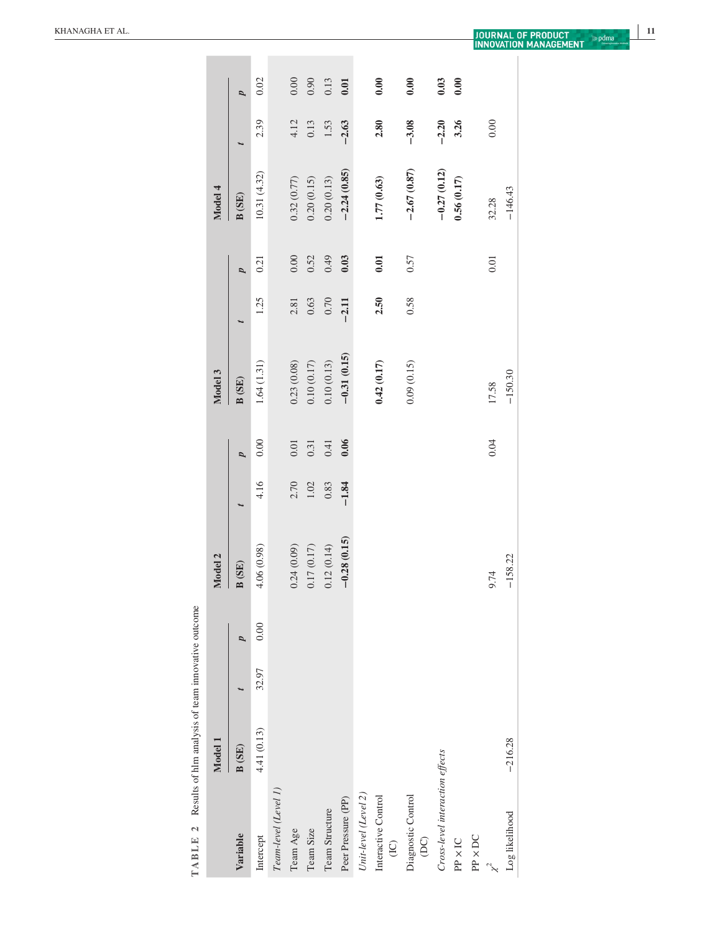| TABLE 2 Results of him analysis of team innovative outcome |             |       |      |               |         |                |               |         |                |               |         |                |
|------------------------------------------------------------|-------------|-------|------|---------------|---------|----------------|---------------|---------|----------------|---------------|---------|----------------|
|                                                            | Model 1     |       |      | Model 2       |         |                | Model 3       |         |                | Model 4       |         |                |
| Variable                                                   | B(SE)       |       | p    | B(SE)         |         | $\overline{a}$ | B(SE)         |         | $\overline{a}$ | B(SE)         |         | $\overline{a}$ |
| Intercept                                                  | 4.41 (0.13) | 32.97 | 0.00 | 4.06 (0.98)   | 4.16    | 0.00           | 1.64(1.31)    | 1.25    | 0.21           | 10.31(4.32)   | 2.39    | 0.02           |
| Team-level (Level 1)                                       |             |       |      |               |         |                |               |         |                |               |         |                |
| Team Age                                                   |             |       |      | 0.24(0.09)    | 2.70    | $0.01\,$       | 0.23(0.08)    | 2.81    | 0.00           | 0.32(0.77)    | 4.12    | $0.00\,$       |
| Team Size                                                  |             |       |      | 0.17(0.17)    | 1.02    | 0.31           | 0.10(0.17)    | 0.63    | 0.52           | 0.20(0.15)    | 0.13    | 0.90           |
| Team Structure                                             |             |       |      | 0.12(0.14)    | 0.83    | 0.41           | 0.10(0.13)    | 0.70    | 0.49           | 0.20(0.13)    | 1.53    | 0.13           |
| Peer Pressure (PP)                                         |             |       |      | $-0.28(0.15)$ | $-1.84$ | 0.06           | $-0.31(0.15)$ | $-2.11$ | 0.03           | $-2.24(0.85)$ | $-2.63$ | 0.01           |
| Unit-level (Level 2)                                       |             |       |      |               |         |                |               |         |                |               |         |                |
| Interactive Control<br>$\bigcirc$                          |             |       |      |               |         |                | 0.42(0.17)    | 2.50    | 0.01           | 1.77 (0.63)   | 2.80    | 0.00           |
| Diagnostic Control<br>$\overline{D}$                       |             |       |      |               |         |                | 0.09(0.15)    | 0.58    | 0.57           | $-2.67(0.87)$ | $-3.08$ | 0.00           |
| Cross-level interaction effects                            |             |       |      |               |         |                |               |         |                | $-0.27(0.12)$ | $-2.20$ | 0.03           |
| $PP \times IC$                                             |             |       |      |               |         |                |               |         |                | 0.56(0.17)    | 3.26    | 0.00           |
| $PP \times DC$                                             |             |       |      |               |         |                |               |         |                |               |         |                |
|                                                            |             |       |      | 9.74          |         | 0.04           | 17.58         |         | 0.01           | 32.28         | 0.00    |                |
| Log likelihood                                             | $-216.28$   |       |      | $-158.22$     |         |                | $-150.30$     |         |                | $-146.43$     |         |                |
|                                                            |             |       |      |               |         |                |               |         |                |               |         |                |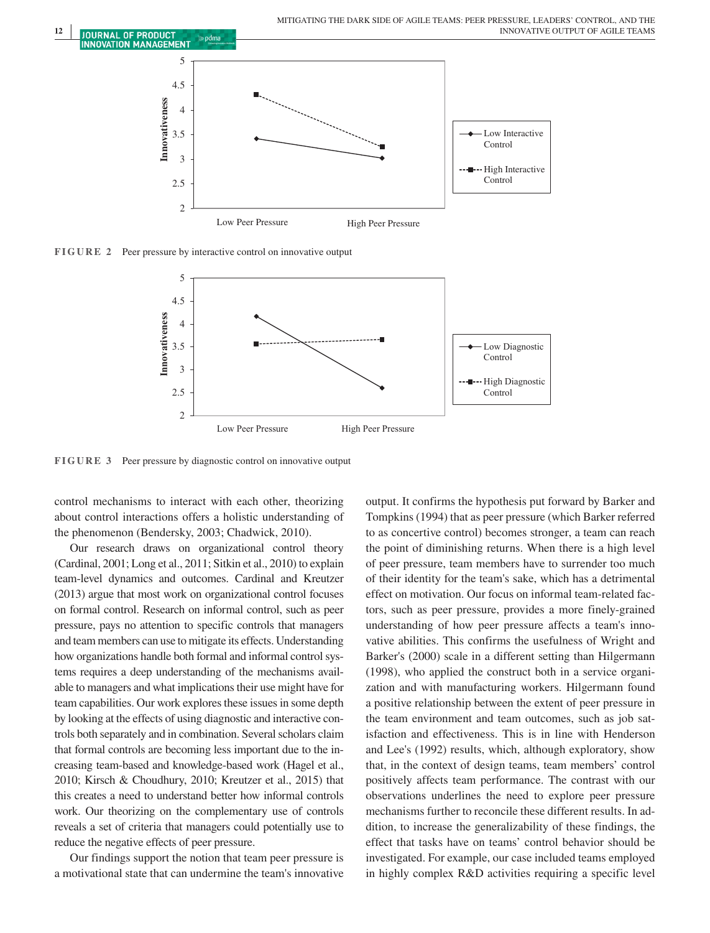

**FIGURE 2** Peer pressure by interactive control on innovative output

**<sup>12</sup> |** 



**FIGURE 3** Peer pressure by diagnostic control on innovative output

control mechanisms to interact with each other, theorizing about control interactions offers a holistic understanding of the phenomenon (Bendersky, 2003; Chadwick, 2010).

Our research draws on organizational control theory (Cardinal, 2001; Long et al., 2011; Sitkin et al., 2010) to explain team-level dynamics and outcomes. Cardinal and Kreutzer (2013) argue that most work on organizational control focuses on formal control. Research on informal control, such as peer pressure, pays no attention to specific controls that managers and team members can use to mitigate its effects. Understanding how organizations handle both formal and informal control systems requires a deep understanding of the mechanisms available to managers and what implications their use might have for team capabilities. Our work explores these issues in some depth by looking at the effects of using diagnostic and interactive controls both separately and in combination. Several scholars claim that formal controls are becoming less important due to the increasing team-based and knowledge-based work (Hagel et al., 2010; Kirsch & Choudhury, 2010; Kreutzer et al., 2015) that this creates a need to understand better how informal controls work. Our theorizing on the complementary use of controls reveals a set of criteria that managers could potentially use to reduce the negative effects of peer pressure.

Our findings support the notion that team peer pressure is a motivational state that can undermine the team's innovative output. It confirms the hypothesis put forward by Barker and Tompkins (1994) that as peer pressure (which Barker referred to as concertive control) becomes stronger, a team can reach the point of diminishing returns. When there is a high level of peer pressure, team members have to surrender too much of their identity for the team's sake, which has a detrimental effect on motivation. Our focus on informal team-related factors, such as peer pressure, provides a more finely-grained understanding of how peer pressure affects a team's innovative abilities. This confirms the usefulness of Wright and Barker's (2000) scale in a different setting than Hilgermann (1998), who applied the construct both in a service organization and with manufacturing workers. Hilgermann found a positive relationship between the extent of peer pressure in the team environment and team outcomes, such as job satisfaction and effectiveness. This is in line with Henderson and Lee's (1992) results, which, although exploratory, show that, in the context of design teams, team members' control positively affects team performance. The contrast with our observations underlines the need to explore peer pressure mechanisms further to reconcile these different results. In addition, to increase the generalizability of these findings, the effect that tasks have on teams' control behavior should be investigated. For example, our case included teams employed in highly complex R&D activities requiring a specific level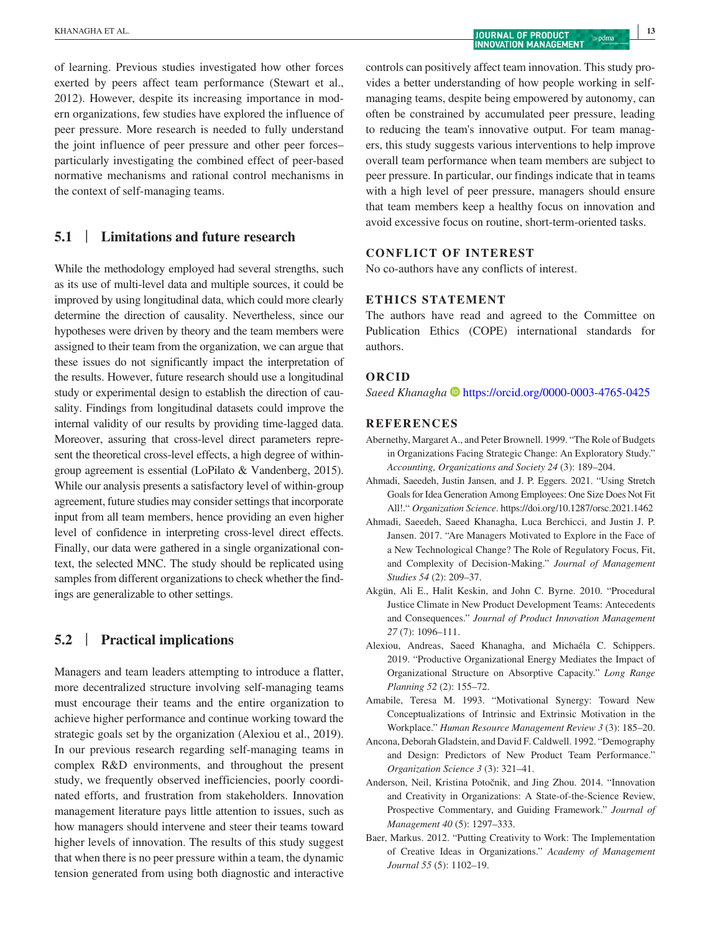**|** KHANAGHA ET AL. **<sup>13</sup>**

of learning. Previous studies investigated how other forces exerted by peers affect team performance (Stewart et al., 2012). However, despite its increasing importance in modern organizations, few studies have explored the influence of peer pressure. More research is needed to fully understand the joint influence of peer pressure and other peer forces– particularly investigating the combined effect of peer-based normative mechanisms and rational control mechanisms in the context of self-managing teams.

### **5.1** | **Limitations and future research**

While the methodology employed had several strengths, such as its use of multi-level data and multiple sources, it could be improved by using longitudinal data, which could more clearly determine the direction of causality. Nevertheless, since our hypotheses were driven by theory and the team members were assigned to their team from the organization, we can argue that these issues do not significantly impact the interpretation of the results. However, future research should use a longitudinal study or experimental design to establish the direction of causality. Findings from longitudinal datasets could improve the internal validity of our results by providing time-lagged data. Moreover, assuring that cross-level direct parameters represent the theoretical cross-level effects, a high degree of withingroup agreement is essential (LoPilato & Vandenberg, 2015). While our analysis presents a satisfactory level of within-group agreement, future studies may consider settings that incorporate input from all team members, hence providing an even higher level of confidence in interpreting cross-level direct effects. Finally, our data were gathered in a single organizational context, the selected MNC. The study should be replicated using samples from different organizations to check whether the findings are generalizable to other settings.

### **5.2** | **Practical implications**

Managers and team leaders attempting to introduce a flatter, more decentralized structure involving self-managing teams must encourage their teams and the entire organization to achieve higher performance and continue working toward the strategic goals set by the organization (Alexiou et al., 2019). In our previous research regarding self-managing teams in complex R&D environments, and throughout the present study, we frequently observed inefficiencies, poorly coordinated efforts, and frustration from stakeholders. Innovation management literature pays little attention to issues, such as how managers should intervene and steer their teams toward higher levels of innovation. The results of this study suggest that when there is no peer pressure within a team, the dynamic tension generated from using both diagnostic and interactive

controls can positively affect team innovation. This study provides a better understanding of how people working in selfmanaging teams, despite being empowered by autonomy, can often be constrained by accumulated peer pressure, leading to reducing the team's innovative output. For team managers, this study suggests various interventions to help improve overall team performance when team members are subject to peer pressure. In particular, our findings indicate that in teams with a high level of peer pressure, managers should ensure that team members keep a healthy focus on innovation and avoid excessive focus on routine, short-term-oriented tasks.

### **CONFLICT OF INTEREST**

No co-authors have any conflicts of interest.

### **ETHICS STATEMENT**

The authors have read and agreed to the Committee on Publication Ethics (COPE) international standards for authors.

#### **ORCID**

*Saeed Khanagha* <https://orcid.org/0000-0003-4765-0425>

#### **REFERENCES**

- Abernethy, Margaret A., and Peter Brownell. 1999. "The Role of Budgets in Organizations Facing Strategic Change: An Exploratory Study." *Accounting, Organizations and Society 24* (3): 189–204.
- Ahmadi, Saeedeh, Justin Jansen, and J. P. Eggers. 2021. "Using Stretch Goals for Idea Generation Among Employees: One Size Does Not Fit All!." *Organization Science*.<https://doi.org/10.1287/orsc.2021.1462>
- Ahmadi, Saeedeh, Saeed Khanagha, Luca Berchicci, and Justin J. P. Jansen. 2017. "Are Managers Motivated to Explore in the Face of a New Technological Change? The Role of Regulatory Focus, Fit, and Complexity of Decision-Making." *Journal of Management Studies 54* (2): 209–37.
- Akgün, Ali E., Halit Keskin, and John C. Byrne. 2010. "Procedural Justice Climate in New Product Development Teams: Antecedents and Consequences." *Journal of Product Innovation Management 27* (7): 1096–111.
- Alexiou, Andreas, Saeed Khanagha, and Michaéla C. Schippers. 2019. "Productive Organizational Energy Mediates the Impact of Organizational Structure on Absorptive Capacity." *Long Range Planning 52* (2): 155–72.
- Amabile, Teresa M. 1993. "Motivational Synergy: Toward New Conceptualizations of Intrinsic and Extrinsic Motivation in the Workplace." *Human Resource Management Review 3* (3): 185–20.
- Ancona, Deborah Gladstein, and David F. Caldwell. 1992. "Demography and Design: Predictors of New Product Team Performance." *Organization Science 3* (3): 321–41.
- Anderson, Neil, Kristina Potočnik, and Jing Zhou. 2014. "Innovation and Creativity in Organizations: A State-of-the-Science Review, Prospective Commentary, and Guiding Framework." *Journal of Management 40* (5): 1297–333.
- Baer, Markus. 2012. "Putting Creativity to Work: The Implementation of Creative Ideas in Organizations." *Academy of Management Journal 55* (5): 1102–19.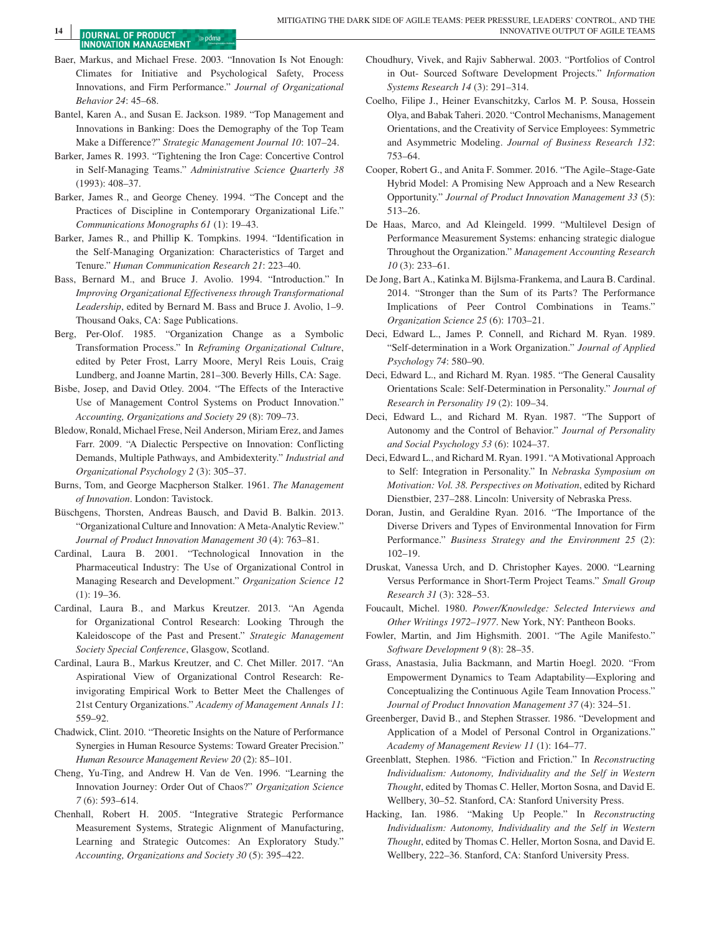#### **<sup>14</sup> | JOURNAL OF PRODUCT** pdma **INNOVATION MANAGEMENT**

- Baer, Markus, and Michael Frese. 2003. "Innovation Is Not Enough: Climates for Initiative and Psychological Safety, Process Innovations, and Firm Performance." *Journal of Organizational Behavior 24*: 45–68.
- Bantel, Karen A., and Susan E. Jackson. 1989. "Top Management and Innovations in Banking: Does the Demography of the Top Team Make a Difference?" *Strategic Management Journal 10*: 107–24.
- Barker, James R. 1993. "Tightening the Iron Cage: Concertive Control in Self-Managing Teams." *Administrative Science Quarterly 38* (1993): 408–37.
- Barker, James R., and George Cheney. 1994. "The Concept and the Practices of Discipline in Contemporary Organizational Life." *Communications Monographs 61* (1): 19–43.
- Barker, James R., and Phillip K. Tompkins. 1994. "Identification in the Self-Managing Organization: Characteristics of Target and Tenure." *Human Communication Research 21*: 223–40.
- Bass, Bernard M., and Bruce J. Avolio. 1994. "Introduction." In *Improving Organizational Effectiveness through Transformational Leadership*, edited by Bernard M. Bass and Bruce J. Avolio, 1–9. Thousand Oaks, CA: Sage Publications.
- Berg, Per-Olof. 1985. "Organization Change as a Symbolic Transformation Process." In *Reframing Organizational Culture*, edited by Peter Frost, Larry Moore, Meryl Reis Louis, Craig Lundberg, and Joanne Martin, 281–300. Beverly Hills, CA: Sage.
- Bisbe, Josep, and David Otley. 2004. "The Effects of the Interactive Use of Management Control Systems on Product Innovation." *Accounting, Organizations and Society 29* (8): 709–73.
- Bledow, Ronald, Michael Frese, Neil Anderson, Miriam Erez, and James Farr. 2009. "A Dialectic Perspective on Innovation: Conflicting Demands, Multiple Pathways, and Ambidexterity." *Industrial and Organizational Psychology 2* (3): 305–37.
- Burns, Tom, and George Macpherson Stalker. 1961. *The Management of Innovation*. London: Tavistock.
- Büschgens, Thorsten, Andreas Bausch, and David B. Balkin. 2013. "Organizational Culture and Innovation: A Meta-Analytic Review." *Journal of Product Innovation Management 30* (4): 763–81.
- Cardinal, Laura B. 2001. "Technological Innovation in the Pharmaceutical Industry: The Use of Organizational Control in Managing Research and Development." *Organization Science 12*  $(1): 19-36.$
- Cardinal, Laura B., and Markus Kreutzer. 2013. "An Agenda for Organizational Control Research: Looking Through the Kaleidoscope of the Past and Present." *Strategic Management Society Special Conference*, Glasgow, Scotland.
- Cardinal, Laura B., Markus Kreutzer, and C. Chet Miller. 2017. "An Aspirational View of Organizational Control Research: Reinvigorating Empirical Work to Better Meet the Challenges of 21st Century Organizations." *Academy of Management Annals 11*: 559–92.
- Chadwick, Clint. 2010. "Theoretic Insights on the Nature of Performance Synergies in Human Resource Systems: Toward Greater Precision." *Human Resource Management Review 20* (2): 85–101.
- Cheng, Yu-Ting, and Andrew H. Van de Ven. 1996. "Learning the Innovation Journey: Order Out of Chaos?" *Organization Science 7* (6): 593–614.
- Chenhall, Robert H. 2005. "Integrative Strategic Performance Measurement Systems, Strategic Alignment of Manufacturing, Learning and Strategic Outcomes: An Exploratory Study." *Accounting, Organizations and Society 30* (5): 395–422.
- Choudhury, Vivek, and Rajiv Sabherwal. 2003. "Portfolios of Control in Out- Sourced Software Development Projects." *Information Systems Research 14* (3): 291–314.
- Coelho, Filipe J., Heiner Evanschitzky, Carlos M. P. Sousa, Hossein Olya, and Babak Taheri. 2020. "Control Mechanisms, Management Orientations, and the Creativity of Service Employees: Symmetric and Asymmetric Modeling. *Journal of Business Research 132*: 753–64.
- Cooper, Robert G., and Anita F. Sommer. 2016. "The Agile–Stage-Gate Hybrid Model: A Promising New Approach and a New Research Opportunity." *Journal of Product Innovation Management 33* (5): 513–26.
- De Haas, Marco, and Ad Kleingeld. 1999. "Multilevel Design of Performance Measurement Systems: enhancing strategic dialogue Throughout the Organization." *Management Accounting Research 10* (3): 233–61.
- De Jong, Bart A., Katinka M. Bijlsma-Frankema, and Laura B. Cardinal. 2014. "Stronger than the Sum of its Parts? The Performance Implications of Peer Control Combinations in Teams." *Organization Science 25* (6): 1703–21.
- Deci, Edward L., James P. Connell, and Richard M. Ryan. 1989. "Self-determination in a Work Organization." *Journal of Applied Psychology 74*: 580–90.
- Deci, Edward L., and Richard M. Ryan. 1985. "The General Causality Orientations Scale: Self-Determination in Personality." *Journal of Research in Personality 19* (2): 109–34.
- Deci, Edward L., and Richard M. Ryan. 1987. "The Support of Autonomy and the Control of Behavior." *Journal of Personality and Social Psychology 53* (6): 1024–37.
- Deci, Edward L., and Richard M. Ryan. 1991. "A Motivational Approach to Self: Integration in Personality." In *Nebraska Symposium on Motivation: Vol. 38. Perspectives on Motivation*, edited by Richard Dienstbier, 237–288. Lincoln: University of Nebraska Press.
- Doran, Justin, and Geraldine Ryan. 2016. "The Importance of the Diverse Drivers and Types of Environmental Innovation for Firm Performance." *Business Strategy and the Environment 25* (2): 102–19.
- Druskat, Vanessa Urch, and D. Christopher Kayes. 2000. "Learning Versus Performance in Short-Term Project Teams." *Small Group Research 31* (3): 328–53.
- Foucault, Michel. 1980. *Power/Knowledge: Selected Interviews and Other Writings 1972–1977*. New York, NY: Pantheon Books.
- Fowler, Martin, and Jim Highsmith. 2001. "The Agile Manifesto." *Software Development 9* (8): 28–35.
- Grass, Anastasia, Julia Backmann, and Martin Hoegl. 2020. "From Empowerment Dynamics to Team Adaptability—Exploring and Conceptualizing the Continuous Agile Team Innovation Process." *Journal of Product Innovation Management 37* (4): 324–51.
- Greenberger, David B., and Stephen Strasser. 1986. "Development and Application of a Model of Personal Control in Organizations." *Academy of Management Review 11* (1): 164–77.
- Greenblatt, Stephen. 1986. "Fiction and Friction." In *Reconstructing Individualism: Autonomy, Individuality and the Self in Western Thought*, edited by Thomas C. Heller, Morton Sosna, and David E. Wellbery, 30–52. Stanford, CA: Stanford University Press.
- Hacking, Ian. 1986. "Making Up People." In *Reconstructing Individualism: Autonomy, Individuality and the Self in Western Thought*, edited by Thomas C. Heller, Morton Sosna, and David E. Wellbery, 222–36. Stanford, CA: Stanford University Press.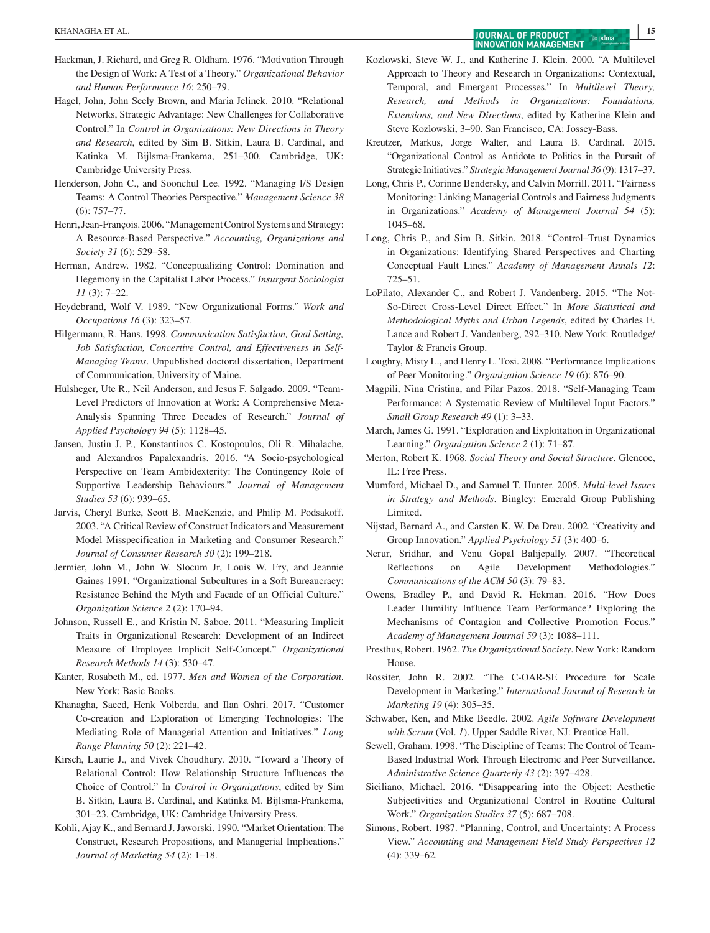- Hackman, J. Richard, and Greg R. Oldham. 1976. "Motivation Through the Design of Work: A Test of a Theory." *Organizational Behavior and Human Performance 16*: 250–79.
- Hagel, John, John Seely Brown, and Maria Jelinek. 2010. "Relational Networks, Strategic Advantage: New Challenges for Collaborative Control." In *Control in Organizations: New Directions in Theory and Research*, edited by Sim B. Sitkin, Laura B. Cardinal, and Katinka M. Bijlsma-Frankema, 251–300. Cambridge, UK: Cambridge University Press.
- Henderson, John C., and Soonchul Lee. 1992. "Managing I/S Design Teams: A Control Theories Perspective." *Management Science 38* (6): 757–77.
- Henri, Jean-François. 2006. "Management Control Systems and Strategy: A Resource-Based Perspective." *Accounting, Organizations and Society 31* (6): 529–58.
- Herman, Andrew. 1982. "Conceptualizing Control: Domination and Hegemony in the Capitalist Labor Process." *Insurgent Sociologist 11* (3): 7–22.
- Heydebrand, Wolf V. 1989. "New Organizational Forms." *Work and Occupations 16* (3): 323–57.
- Hilgermann, R. Hans. 1998. *Communication Satisfaction, Goal Setting, Job Satisfaction, Concertive Control, and Effectiveness in Self-Managing Teams*. Unpublished doctoral dissertation, Department of Communication, University of Maine.
- Hülsheger, Ute R., Neil Anderson, and Jesus F. Salgado. 2009. "Team-Level Predictors of Innovation at Work: A Comprehensive Meta-Analysis Spanning Three Decades of Research." *Journal of Applied Psychology 94* (5): 1128–45.
- Jansen, Justin J. P., Konstantinos C. Kostopoulos, Oli R. Mihalache, and Alexandros Papalexandris. 2016. "A Socio-psychological Perspective on Team Ambidexterity: The Contingency Role of Supportive Leadership Behaviours." *Journal of Management Studies 53* (6): 939–65.
- Jarvis, Cheryl Burke, Scott B. MacKenzie, and Philip M. Podsakoff. 2003. "A Critical Review of Construct Indicators and Measurement Model Misspecification in Marketing and Consumer Research." *Journal of Consumer Research 30* (2): 199–218.
- Jermier, John M., John W. Slocum Jr, Louis W. Fry, and Jeannie Gaines 1991. "Organizational Subcultures in a Soft Bureaucracy: Resistance Behind the Myth and Facade of an Official Culture." *Organization Science 2* (2): 170–94.
- Johnson, Russell E., and Kristin N. Saboe. 2011. "Measuring Implicit Traits in Organizational Research: Development of an Indirect Measure of Employee Implicit Self-Concept." *Organizational Research Methods 14* (3): 530–47.
- Kanter, Rosabeth M., ed. 1977. *Men and Women of the Corporation*. New York: Basic Books.
- Khanagha, Saeed, Henk Volberda, and Ilan Oshri. 2017. "Customer Co-creation and Exploration of Emerging Technologies: The Mediating Role of Managerial Attention and Initiatives." *Long Range Planning 50* (2): 221–42.
- Kirsch, Laurie J., and Vivek Choudhury. 2010. "Toward a Theory of Relational Control: How Relationship Structure Influences the Choice of Control." In *Control in Organizations*, edited by Sim B. Sitkin, Laura B. Cardinal, and Katinka M. Bijlsma-Frankema, 301–23. Cambridge, UK: Cambridge University Press.
- Kohli, Ajay K., and Bernard J. Jaworski. 1990. "Market Orientation: The Construct, Research Propositions, and Managerial Implications." *Journal of Marketing 54* (2): 1–18.

Kozlowski, Steve W. J., and Katherine J. Klein. 2000. "A Multilevel Approach to Theory and Research in Organizations: Contextual, Temporal, and Emergent Processes." In *Multilevel Theory, Research, and Methods in Organizations: Foundations,* 

*Extensions, and New Directions*, edited by Katherine Klein and

- Steve Kozlowski, 3–90. San Francisco, CA: Jossey-Bass. Kreutzer, Markus, Jorge Walter, and Laura B. Cardinal. 2015. "Organizational Control as Antidote to Politics in the Pursuit of
- Strategic Initiatives." *Strategic Management Journal 36* (9): 1317–37. Long, Chris P., Corinne Bendersky, and Calvin Morrill. 2011. "Fairness Monitoring: Linking Managerial Controls and Fairness Judgments in Organizations." *Academy of Management Journal 54* (5): 1045–68.
- Long, Chris P., and Sim B. Sitkin. 2018. "Control–Trust Dynamics in Organizations: Identifying Shared Perspectives and Charting Conceptual Fault Lines." *Academy of Management Annals 12*: 725–51.
- LoPilato, Alexander C., and Robert J. Vandenberg. 2015. "The Not-So-Direct Cross-Level Direct Effect." In *More Statistical and Methodological Myths and Urban Legends*, edited by Charles E. Lance and Robert J. Vandenberg, 292–310. New York: Routledge/ Taylor & Francis Group.
- Loughry, Misty L., and Henry L. Tosi. 2008. "Performance Implications of Peer Monitoring." *Organization Science 19* (6): 876–90.
- Magpili, Nina Cristina, and Pilar Pazos. 2018. "Self-Managing Team Performance: A Systematic Review of Multilevel Input Factors." *Small Group Research 49* (1): 3–33.
- March, James G. 1991. "Exploration and Exploitation in Organizational Learning." *Organization Science 2* (1): 71–87.
- Merton, Robert K. 1968. *Social Theory and Social Structure*. Glencoe, IL: Free Press.
- Mumford, Michael D., and Samuel T. Hunter. 2005. *Multi-level Issues in Strategy and Methods*. Bingley: Emerald Group Publishing Limited.
- Nijstad, Bernard A., and Carsten K. W. De Dreu. 2002. "Creativity and Group Innovation." *Applied Psychology 51* (3): 400–6.
- Nerur, Sridhar, and Venu Gopal Balijepally. 2007. "Theoretical Reflections on Agile Development Methodologies." *Communications of the ACM 50* (3): 79–83.
- Owens, Bradley P., and David R. Hekman. 2016. "How Does Leader Humility Influence Team Performance? Exploring the Mechanisms of Contagion and Collective Promotion Focus." *Academy of Management Journal 59* (3): 1088–111.
- Presthus, Robert. 1962. *The Organizational Society*. New York: Random House.
- Rossiter, John R. 2002. "The C-OAR-SE Procedure for Scale Development in Marketing." *International Journal of Research in Marketing 19* (4): 305–35.
- Schwaber, Ken, and Mike Beedle. 2002. *Agile Software Development with Scrum* (Vol. *1*). Upper Saddle River, NJ: Prentice Hall.
- Sewell, Graham. 1998. "The Discipline of Teams: The Control of Team-Based Industrial Work Through Electronic and Peer Surveillance. *Administrative Science Quarterly 43* (2): 397–428.
- Siciliano, Michael. 2016. "Disappearing into the Object: Aesthetic Subjectivities and Organizational Control in Routine Cultural Work." *Organization Studies 37* (5): 687–708.
- Simons, Robert. 1987. "Planning, Control, and Uncertainty: A Process View." *Accounting and Management Field Study Perspectives 12* (4): 339–62.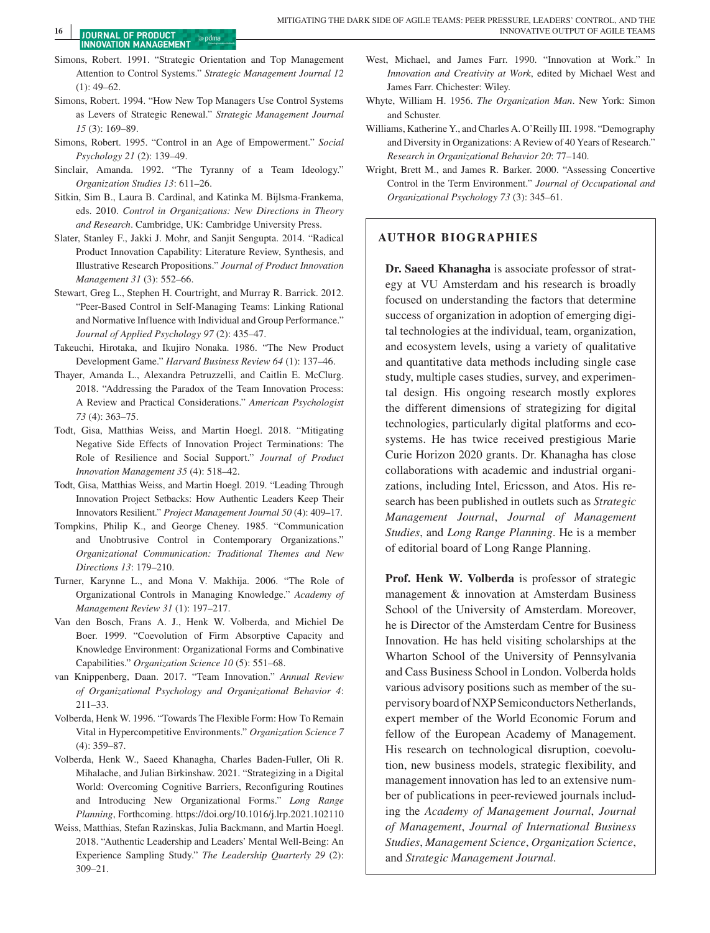- Simons, Robert. 1991. "Strategic Orientation and Top Management Attention to Control Systems." *Strategic Management Journal 12*  $(1)$ : 49–62.
- Simons, Robert. 1994. "How New Top Managers Use Control Systems as Levers of Strategic Renewal." *Strategic Management Journal 15* (3): 169–89.
- Simons, Robert. 1995. "Control in an Age of Empowerment." *Social Psychology 21* (2): 139–49.
- Sinclair, Amanda. 1992. "The Tyranny of a Team Ideology." *Organization Studies 13*: 611–26.
- Sitkin, Sim B., Laura B. Cardinal, and Katinka M. Bijlsma-Frankema, eds. 2010. *Control in Organizations: New Directions in Theory and Research*. Cambridge, UK: Cambridge University Press.
- Slater, Stanley F., Jakki J. Mohr, and Sanjit Sengupta. 2014. "Radical Product Innovation Capability: Literature Review, Synthesis, and Illustrative Research Propositions." *Journal of Product Innovation Management 31* (3): 552–66.
- Stewart, Greg L., Stephen H. Courtright, and Murray R. Barrick. 2012. "Peer-Based Control in Self-Managing Teams: Linking Rational and Normative Influence with Individual and Group Performance." *Journal of Applied Psychology 97* (2): 435–47.
- Takeuchi, Hirotaka, and Ikujiro Nonaka. 1986. "The New Product Development Game." *Harvard Business Review 64* (1): 137–46.
- Thayer, Amanda L., Alexandra Petruzzelli, and Caitlin E. McClurg. 2018. "Addressing the Paradox of the Team Innovation Process: A Review and Practical Considerations." *American Psychologist 73* (4): 363–75.
- Todt, Gisa, Matthias Weiss, and Martin Hoegl. 2018. "Mitigating Negative Side Effects of Innovation Project Terminations: The Role of Resilience and Social Support." *Journal of Product Innovation Management 35* (4): 518–42.
- Todt, Gisa, Matthias Weiss, and Martin Hoegl. 2019. "Leading Through Innovation Project Setbacks: How Authentic Leaders Keep Their Innovators Resilient." *Project Management Journal 50* (4): 409–17.
- Tompkins, Philip K., and George Cheney. 1985. "Communication and Unobtrusive Control in Contemporary Organizations." *Organizational Communication: Traditional Themes and New Directions 13*: 179–210.
- Turner, Karynne L., and Mona V. Makhija. 2006. "The Role of Organizational Controls in Managing Knowledge." *Academy of Management Review 31* (1): 197–217.
- Van den Bosch, Frans A. J., Henk W. Volberda, and Michiel De Boer. 1999. "Coevolution of Firm Absorptive Capacity and Knowledge Environment: Organizational Forms and Combinative Capabilities." *Organization Science 10* (5): 551–68.
- van Knippenberg, Daan. 2017. "Team Innovation." *Annual Review of Organizational Psychology and Organizational Behavior 4*: 211–33.
- Volberda, Henk W. 1996. "Towards The Flexible Form: How To Remain Vital in Hypercompetitive Environments." *Organization Science 7* (4): 359–87.
- Volberda, Henk W., Saeed Khanagha, Charles Baden-Fuller, Oli R. Mihalache, and Julian Birkinshaw. 2021. "Strategizing in a Digital World: Overcoming Cognitive Barriers, Reconfiguring Routines and Introducing New Organizational Forms." *Long Range Planning*, Forthcoming.<https://doi.org/10.1016/j.lrp.2021.102110>
- Weiss, Matthias, Stefan Razinskas, Julia Backmann, and Martin Hoegl. 2018. "Authentic Leadership and Leaders' Mental Well-Being: An Experience Sampling Study." *The Leadership Quarterly 29* (2): 309–21.
- West, Michael, and James Farr. 1990. "Innovation at Work." In *Innovation and Creativity at Work*, edited by Michael West and James Farr. Chichester: Wiley.
- Whyte, William H. 1956. *The Organization Man*. New York: Simon and Schuster.
- Williams, Katherine Y., and Charles A. O'Reilly III. 1998. "Demography and Diversity in Organizations: A Review of 40 Years of Research." *Research in Organizational Behavior 20*: 77–140.
- Wright, Brett M., and James R. Barker. 2000. "Assessing Concertive Control in the Term Environment." *Journal of Occupational and Organizational Psychology 73* (3): 345–61.

## **AUTHOR BIOGRAPHIES**

**Dr. Saeed Khanagha** is associate professor of strategy at VU Amsterdam and his research is broadly focused on understanding the factors that determine success of organization in adoption of emerging digital technologies at the individual, team, organization, and ecosystem levels, using a variety of qualitative and quantitative data methods including single case study, multiple cases studies, survey, and experimental design. His ongoing research mostly explores the different dimensions of strategizing for digital technologies, particularly digital platforms and ecosystems. He has twice received prestigious Marie Curie Horizon 2020 grants. Dr. Khanagha has close collaborations with academic and industrial organizations, including Intel, Ericsson, and Atos. His research has been published in outlets such as *Strategic Management Journal*, *Journal of Management Studies*, and *Long Range Planning*. He is a member of editorial board of Long Range Planning.

**Prof. Henk W. Volberda** is professor of strategic management & innovation at Amsterdam Business School of the University of Amsterdam. Moreover, he is Director of the Amsterdam Centre for Business Innovation. He has held visiting scholarships at the Wharton School of the University of Pennsylvania and Cass Business School in London. Volberda holds various advisory positions such as member of the supervisory board of NXP Semiconductors Netherlands, expert member of the World Economic Forum and fellow of the European Academy of Management. His research on technological disruption, coevolution, new business models, strategic flexibility, and management innovation has led to an extensive number of publications in peer-reviewed journals including the *Academy of Management Journal*, *Journal of Management*, *Journal of International Business Studies*, *Management Science*, *Organization Science*, and *Strategic Management Journal*.